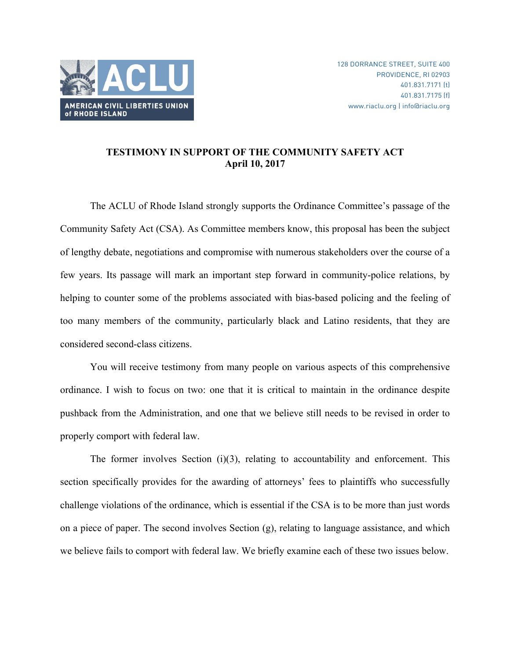

## **TESTIMONY IN SUPPORT OF THE COMMUNITY SAFETY ACT April 10, 2017**

The ACLU of Rhode Island strongly supports the Ordinance Committee's passage of the Community Safety Act (CSA). As Committee members know, this proposal has been the subject of lengthy debate, negotiations and compromise with numerous stakeholders over the course of a few years. Its passage will mark an important step forward in community-police relations, by helping to counter some of the problems associated with bias-based policing and the feeling of too many members of the community, particularly black and Latino residents, that they are considered second-class citizens.

You will receive testimony from many people on various aspects of this comprehensive ordinance. I wish to focus on two: one that it is critical to maintain in the ordinance despite pushback from the Administration, and one that we believe still needs to be revised in order to properly comport with federal law.

The former involves Section (i)(3), relating to accountability and enforcement. This section specifically provides for the awarding of attorneys' fees to plaintiffs who successfully challenge violations of the ordinance, which is essential if the CSA is to be more than just words on a piece of paper. The second involves Section  $(g)$ , relating to language assistance, and which we believe fails to comport with federal law. We briefly examine each of these two issues below.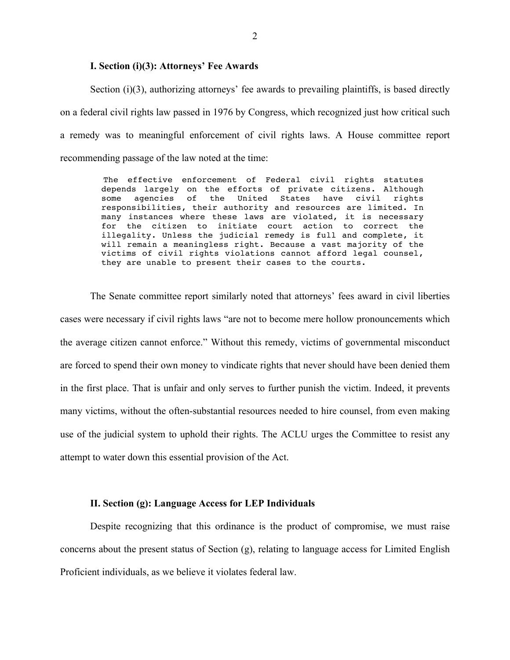## **I. Section (i)(3): Attorneys' Fee Awards**

Section  $(i)(3)$ , authorizing attorneys' fee awards to prevailing plaintiffs, is based directly on a federal civil rights law passed in 1976 by Congress, which recognized just how critical such a remedy was to meaningful enforcement of civil rights laws. A House committee report recommending passage of the law noted at the time:

> The effective enforcement of Federal civil rights statutes depends largely on the efforts of private citizens. Although some agencies of the United States have civil rights responsibilities, their authority and resources are limited. In many instances where these laws are violated, it is necessary for the citizen to initiate court action to correct the illegality. Unless the judicial remedy is full and complete, it will remain a meaningless right. Because a vast majority of the victims of civil rights violations cannot afford legal counsel, they are unable to present their cases to the courts.

The Senate committee report similarly noted that attorneys' fees award in civil liberties cases were necessary if civil rights laws "are not to become mere hollow pronouncements which the average citizen cannot enforce." Without this remedy, victims of governmental misconduct are forced to spend their own money to vindicate rights that never should have been denied them in the first place. That is unfair and only serves to further punish the victim. Indeed, it prevents many victims, without the often-substantial resources needed to hire counsel, from even making use of the judicial system to uphold their rights. The ACLU urges the Committee to resist any attempt to water down this essential provision of the Act.

## **II. Section (g): Language Access for LEP Individuals**

Despite recognizing that this ordinance is the product of compromise, we must raise concerns about the present status of Section (g), relating to language access for Limited English Proficient individuals, as we believe it violates federal law.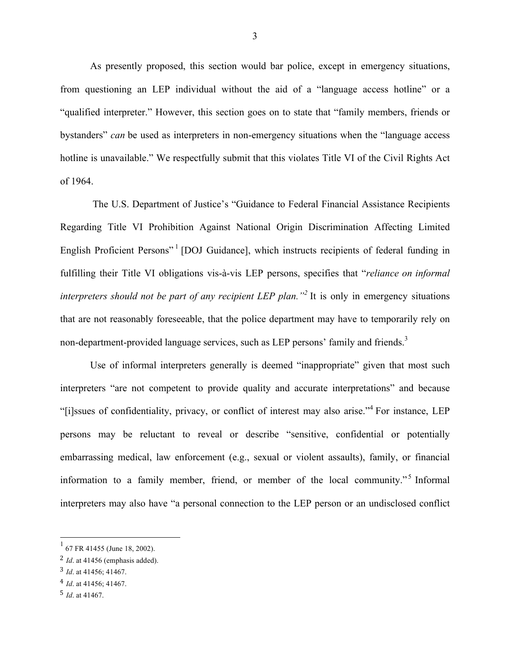As presently proposed, this section would bar police, except in emergency situations, from questioning an LEP individual without the aid of a "language access hotline" or a "qualified interpreter." However, this section goes on to state that "family members, friends or bystanders" *can* be used as interpreters in non-emergency situations when the "language access hotline is unavailable." We respectfully submit that this violates Title VI of the Civil Rights Act of 1964.

The U.S. Department of Justice's "Guidance to Federal Financial Assistance Recipients Regarding Title VI Prohibition Against National Origin Discrimination Affecting Limited English Proficient Persons"<sup>1</sup> [DOJ Guidance], which instructs recipients of federal funding in fulfilling their Title VI obligations vis-à-vis LEP persons, specifies that "*reliance on informal interpreters should not be part of any recipient LEP plan.*<sup>2</sup> It is only in emergency situations that are not reasonably foreseeable, that the police department may have to temporarily rely on non-department-provided language services, such as LEP persons' family and friends.<sup>3</sup>

Use of informal interpreters generally is deemed "inappropriate" given that most such interpreters "are not competent to provide quality and accurate interpretations" and because "[i]ssues of confidentiality, privacy, or conflict of interest may also arise."<sup>4</sup> For instance, LEP persons may be reluctant to reveal or describe "sensitive, confidential or potentially embarrassing medical, law enforcement (e.g., sexual or violent assaults), family, or financial information to a family member, friend, or member of the local community."<sup>5</sup> Informal interpreters may also have "a personal connection to the LEP person or an undisclosed conflict

 $1$  67 FR 41455 (June 18, 2002).

<sup>2</sup> *Id*. at 41456 (emphasis added).

<sup>3</sup> *Id*. at 41456; 41467.

<sup>4</sup> *Id*. at 41456; 41467.

<sup>5</sup> *Id*. at 41467.